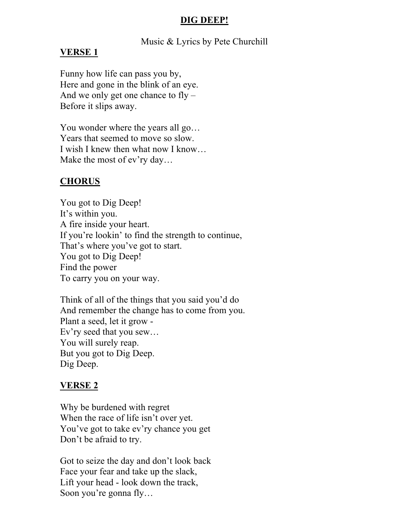### **DIG DEEP!**

Music & Lyrics by Pete Churchill

#### **VERSE 1**

Funny how life can pass you by, Here and gone in the blink of an eye. And we only get one chance to fly – Before it slips away.

You wonder where the years all go… Years that seemed to move so slow. I wish I knew then what now I know… Make the most of ev'ry day…

## **CHORUS**

You got to Dig Deep! It's within you. A fire inside your heart. If you're lookin' to find the strength to continue, That's where you've got to start. You got to Dig Deep! Find the power To carry you on your way.

Think of all of the things that you said you'd do And remember the change has to come from you. Plant a seed, let it grow - Ev'ry seed that you sew… You will surely reap. But you got to Dig Deep. Dig Deep.

### **VERSE 2**

Why be burdened with regret When the race of life isn't over yet. You've got to take ev'ry chance you get Don't be afraid to try.

Got to seize the day and don't look back Face your fear and take up the slack, Lift your head - look down the track, Soon you're gonna fly…